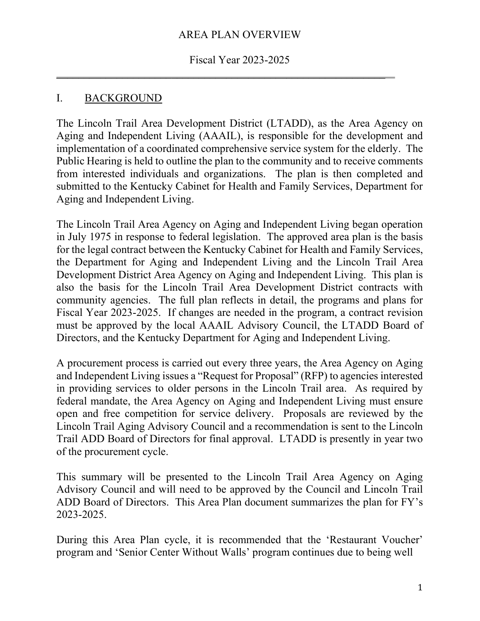#### AREA PLAN OVERVIEW

#### Fiscal Year 2023-2025

 $\mathcal{L}_\text{max}$  and  $\mathcal{L}_\text{max}$  and  $\mathcal{L}_\text{max}$  and  $\mathcal{L}_\text{max}$  and  $\mathcal{L}_\text{max}$  and  $\mathcal{L}_\text{max}$ 

#### I. BACKGROUND

The Lincoln Trail Area Development District (LTADD), as the Area Agency on Aging and Independent Living (AAAIL), is responsible for the development and implementation of a coordinated comprehensive service system for the elderly. The Public Hearing is held to outline the plan to the community and to receive comments from interested individuals and organizations. The plan is then completed and submitted to the Kentucky Cabinet for Health and Family Services, Department for Aging and Independent Living.

The Lincoln Trail Area Agency on Aging and Independent Living began operation in July 1975 in response to federal legislation. The approved area plan is the basis for the legal contract between the Kentucky Cabinet for Health and Family Services, the Department for Aging and Independent Living and the Lincoln Trail Area Development District Area Agency on Aging and Independent Living. This plan is also the basis for the Lincoln Trail Area Development District contracts with community agencies. The full plan reflects in detail, the programs and plans for Fiscal Year 2023-2025. If changes are needed in the program, a contract revision must be approved by the local AAAIL Advisory Council, the LTADD Board of Directors, and the Kentucky Department for Aging and Independent Living.

A procurement process is carried out every three years, the Area Agency on Aging and Independent Living issues a "Request for Proposal" (RFP) to agencies interested in providing services to older persons in the Lincoln Trail area. As required by federal mandate, the Area Agency on Aging and Independent Living must ensure open and free competition for service delivery. Proposals are reviewed by the Lincoln Trail Aging Advisory Council and a recommendation is sent to the Lincoln Trail ADD Board of Directors for final approval. LTADD is presently in year two of the procurement cycle.

This summary will be presented to the Lincoln Trail Area Agency on Aging Advisory Council and will need to be approved by the Council and Lincoln Trail ADD Board of Directors. This Area Plan document summarizes the plan for FY's 2023-2025.

During this Area Plan cycle, it is recommended that the 'Restaurant Voucher' program and 'Senior Center Without Walls' program continues due to being well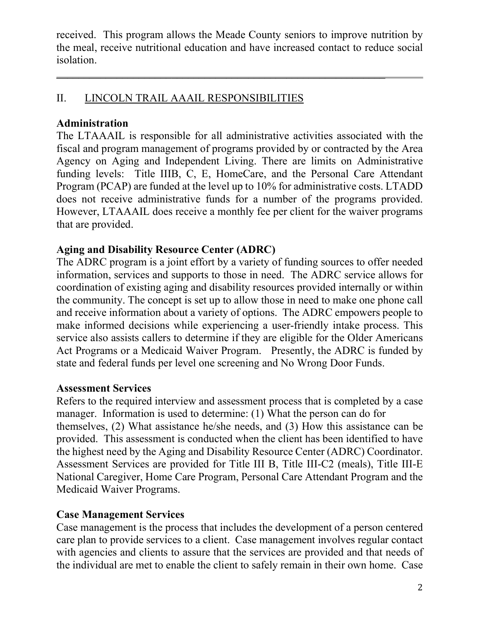received. This program allows the Meade County seniors to improve nutrition by the meal, receive nutritional education and have increased contact to reduce social isolation.

 $\mathcal{L}_\text{max}$  and  $\mathcal{L}_\text{max}$  and  $\mathcal{L}_\text{max}$  and  $\mathcal{L}_\text{max}$  and  $\mathcal{L}_\text{max}$  and  $\mathcal{L}_\text{max}$ 

## II. LINCOLN TRAIL AAAIL RESPONSIBILITIES

## Administration

The LTAAAIL is responsible for all administrative activities associated with the fiscal and program management of programs provided by or contracted by the Area Agency on Aging and Independent Living. There are limits on Administrative funding levels: Title IIIB, C, E, HomeCare, and the Personal Care Attendant Program (PCAP) are funded at the level up to 10% for administrative costs. LTADD does not receive administrative funds for a number of the programs provided. However, LTAAAIL does receive a monthly fee per client for the waiver programs that are provided.

## Aging and Disability Resource Center (ADRC)

The ADRC program is a joint effort by a variety of funding sources to offer needed information, services and supports to those in need. The ADRC service allows for coordination of existing aging and disability resources provided internally or within the community. The concept is set up to allow those in need to make one phone call and receive information about a variety of options. The ADRC empowers people to make informed decisions while experiencing a user-friendly intake process. This service also assists callers to determine if they are eligible for the Older Americans Act Programs or a Medicaid Waiver Program. Presently, the ADRC is funded by state and federal funds per level one screening and No Wrong Door Funds.

## Assessment Services

Refers to the required interview and assessment process that is completed by a case manager. Information is used to determine: (1) What the person can do for themselves, (2) What assistance he/she needs, and (3) How this assistance can be provided. This assessment is conducted when the client has been identified to have the highest need by the Aging and Disability Resource Center (ADRC) Coordinator. Assessment Services are provided for Title III B, Title III-C2 (meals), Title III-E National Caregiver, Home Care Program, Personal Care Attendant Program and the Medicaid Waiver Programs.

## Case Management Services

Case management is the process that includes the development of a person centered care plan to provide services to a client. Case management involves regular contact with agencies and clients to assure that the services are provided and that needs of the individual are met to enable the client to safely remain in their own home. Case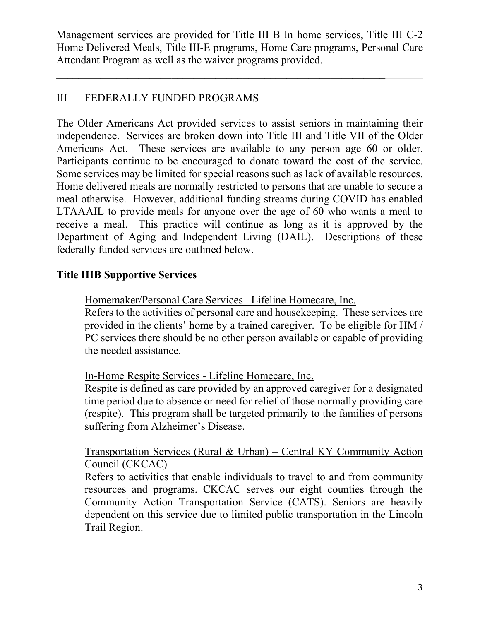Management services are provided for Title III B In home services, Title III C-2 Home Delivered Meals, Title III-E programs, Home Care programs, Personal Care Attendant Program as well as the waiver programs provided.

 $\mathcal{L}_\text{max}$  and  $\mathcal{L}_\text{max}$  and  $\mathcal{L}_\text{max}$  and  $\mathcal{L}_\text{max}$  and  $\mathcal{L}_\text{max}$  and  $\mathcal{L}_\text{max}$ 

## III FEDERALLY FUNDED PROGRAMS

The Older Americans Act provided services to assist seniors in maintaining their independence. Services are broken down into Title III and Title VII of the Older Americans Act. These services are available to any person age 60 or older. Participants continue to be encouraged to donate toward the cost of the service. Some services may be limited for special reasons such as lack of available resources. Home delivered meals are normally restricted to persons that are unable to secure a meal otherwise. However, additional funding streams during COVID has enabled LTAAAIL to provide meals for anyone over the age of 60 who wants a meal to receive a meal. This practice will continue as long as it is approved by the Department of Aging and Independent Living (DAIL). Descriptions of these federally funded services are outlined below.

## Title IIIB Supportive Services

Homemaker/Personal Care Services– Lifeline Homecare, Inc.

Refers to the activities of personal care and housekeeping. These services are provided in the clients' home by a trained caregiver. To be eligible for HM / PC services there should be no other person available or capable of providing the needed assistance.

## In-Home Respite Services - Lifeline Homecare, Inc.

Respite is defined as care provided by an approved caregiver for a designated time period due to absence or need for relief of those normally providing care (respite). This program shall be targeted primarily to the families of persons suffering from Alzheimer's Disease.

### Transportation Services (Rural & Urban) – Central KY Community Action Council (CKCAC)

Refers to activities that enable individuals to travel to and from community resources and programs. CKCAC serves our eight counties through the Community Action Transportation Service (CATS). Seniors are heavily dependent on this service due to limited public transportation in the Lincoln Trail Region.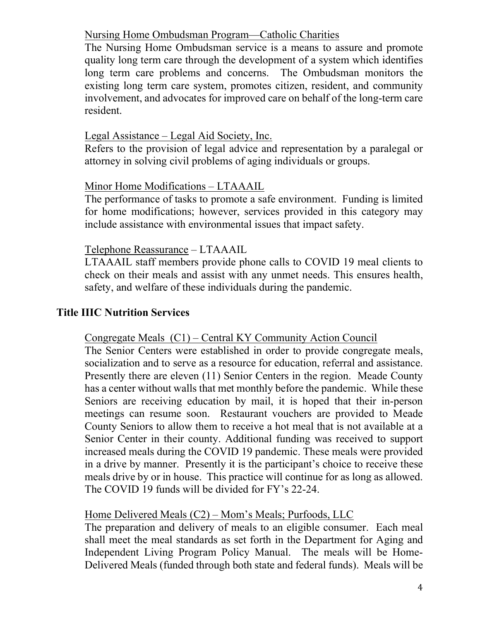### Nursing Home Ombudsman Program—Catholic Charities

The Nursing Home Ombudsman service is a means to assure and promote quality long term care through the development of a system which identifies long term care problems and concerns. The Ombudsman monitors the existing long term care system, promotes citizen, resident, and community involvement, and advocates for improved care on behalf of the long-term care resident.

## Legal Assistance – Legal Aid Society, Inc.

Refers to the provision of legal advice and representation by a paralegal or attorney in solving civil problems of aging individuals or groups.

## Minor Home Modifications – LTAAAIL

The performance of tasks to promote a safe environment. Funding is limited for home modifications; however, services provided in this category may include assistance with environmental issues that impact safety.

### Telephone Reassurance – LTAAAIL

LTAAAIL staff members provide phone calls to COVID 19 meal clients to check on their meals and assist with any unmet needs. This ensures health, safety, and welfare of these individuals during the pandemic.

## Title IIIC Nutrition Services

#### Congregate Meals (C1) – Central KY Community Action Council

The Senior Centers were established in order to provide congregate meals, socialization and to serve as a resource for education, referral and assistance. Presently there are eleven (11) Senior Centers in the region. Meade County has a center without walls that met monthly before the pandemic. While these Seniors are receiving education by mail, it is hoped that their in-person meetings can resume soon. Restaurant vouchers are provided to Meade County Seniors to allow them to receive a hot meal that is not available at a Senior Center in their county. Additional funding was received to support increased meals during the COVID 19 pandemic. These meals were provided in a drive by manner. Presently it is the participant's choice to receive these meals drive by or in house. This practice will continue for as long as allowed. The COVID 19 funds will be divided for FY's 22-24.

## Home Delivered Meals (C2) – Mom's Meals; Purfoods, LLC

The preparation and delivery of meals to an eligible consumer. Each meal shall meet the meal standards as set forth in the Department for Aging and Independent Living Program Policy Manual. The meals will be Home-Delivered Meals (funded through both state and federal funds). Meals will be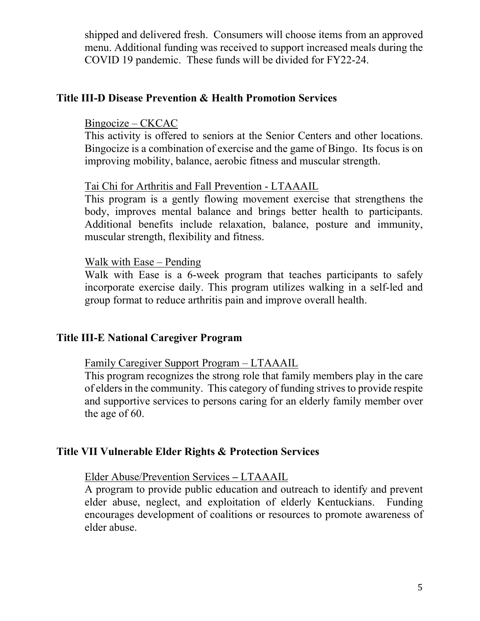shipped and delivered fresh. Consumers will choose items from an approved menu. Additional funding was received to support increased meals during the COVID 19 pandemic. These funds will be divided for FY22-24.

#### Title III-D Disease Prevention & Health Promotion Services

#### Bingocize – CKCAC

This activity is offered to seniors at the Senior Centers and other locations. Bingocize is a combination of exercise and the game of Bingo. Its focus is on improving mobility, balance, aerobic fitness and muscular strength.

#### Tai Chi for Arthritis and Fall Prevention - LTAAAIL

This program is a gently flowing movement exercise that strengthens the body, improves mental balance and brings better health to participants. Additional benefits include relaxation, balance, posture and immunity, muscular strength, flexibility and fitness.

#### Walk with Ease – Pending

Walk with Ease is a 6-week program that teaches participants to safely incorporate exercise daily. This program utilizes walking in a self-led and group format to reduce arthritis pain and improve overall health.

### Title III-E National Caregiver Program

#### Family Caregiver Support Program – LTAAAIL

This program recognizes the strong role that family members play in the care of elders in the community. This category of funding strives to provide respite and supportive services to persons caring for an elderly family member over the age of 60.

#### Title VII Vulnerable Elder Rights & Protection Services

#### Elder Abuse/Prevention Services – LTAAAIL

A program to provide public education and outreach to identify and prevent elder abuse, neglect, and exploitation of elderly Kentuckians. Funding encourages development of coalitions or resources to promote awareness of elder abuse.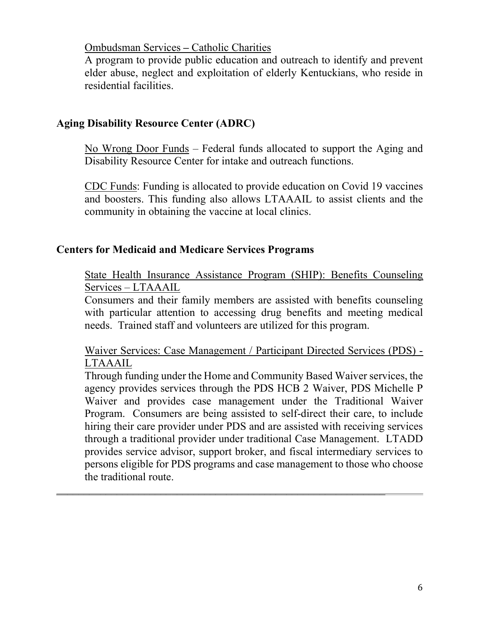Ombudsman Services – Catholic Charities

A program to provide public education and outreach to identify and prevent elder abuse, neglect and exploitation of elderly Kentuckians, who reside in residential facilities.

## Aging Disability Resource Center (ADRC)

No Wrong Door Funds – Federal funds allocated to support the Aging and Disability Resource Center for intake and outreach functions.

CDC Funds: Funding is allocated to provide education on Covid 19 vaccines and boosters. This funding also allows LTAAAIL to assist clients and the community in obtaining the vaccine at local clinics.

## Centers for Medicaid and Medicare Services Programs

State Health Insurance Assistance Program (SHIP): Benefits Counseling Services – LTAAAIL

Consumers and their family members are assisted with benefits counseling with particular attention to accessing drug benefits and meeting medical needs. Trained staff and volunteers are utilized for this program.

Waiver Services: Case Management / Participant Directed Services (PDS) - LTAAAIL

Through funding under the Home and Community Based Waiver services, the agency provides services through the PDS HCB 2 Waiver, PDS Michelle P Waiver and provides case management under the Traditional Waiver Program. Consumers are being assisted to self-direct their care, to include hiring their care provider under PDS and are assisted with receiving services through a traditional provider under traditional Case Management. LTADD provides service advisor, support broker, and fiscal intermediary services to persons eligible for PDS programs and case management to those who choose the traditional route.

 $\mathcal{L}_\text{max}$  and  $\mathcal{L}_\text{max}$  and  $\mathcal{L}_\text{max}$  and  $\mathcal{L}_\text{max}$  and  $\mathcal{L}_\text{max}$  and  $\mathcal{L}_\text{max}$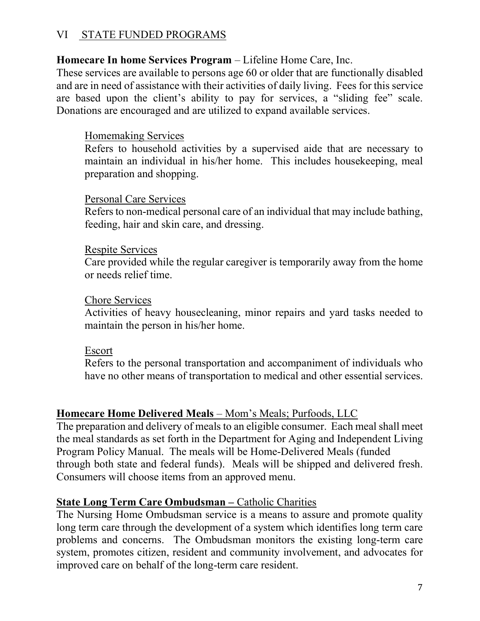### VI STATE FUNDED PROGRAMS

### Homecare In home Services Program – Lifeline Home Care, Inc.

These services are available to persons age 60 or older that are functionally disabled and are in need of assistance with their activities of daily living. Fees for this service are based upon the client's ability to pay for services, a "sliding fee" scale. Donations are encouraged and are utilized to expand available services.

### Homemaking Services

Refers to household activities by a supervised aide that are necessary to maintain an individual in his/her home. This includes housekeeping, meal preparation and shopping.

#### Personal Care Services

Refers to non-medical personal care of an individual that may include bathing, feeding, hair and skin care, and dressing.

#### Respite Services

Care provided while the regular caregiver is temporarily away from the home or needs relief time.

#### Chore Services

Activities of heavy housecleaning, minor repairs and yard tasks needed to maintain the person in his/her home.

#### Escort

Refers to the personal transportation and accompaniment of individuals who have no other means of transportation to medical and other essential services.

## Homecare Home Delivered Meals – Mom's Meals; Purfoods, LLC

The preparation and delivery of meals to an eligible consumer. Each meal shall meet the meal standards as set forth in the Department for Aging and Independent Living Program Policy Manual. The meals will be Home-Delivered Meals (funded through both state and federal funds). Meals will be shipped and delivered fresh. Consumers will choose items from an approved menu.

#### State Long Term Care Ombudsman – Catholic Charities

The Nursing Home Ombudsman service is a means to assure and promote quality long term care through the development of a system which identifies long term care problems and concerns. The Ombudsman monitors the existing long-term care system, promotes citizen, resident and community involvement, and advocates for improved care on behalf of the long-term care resident.